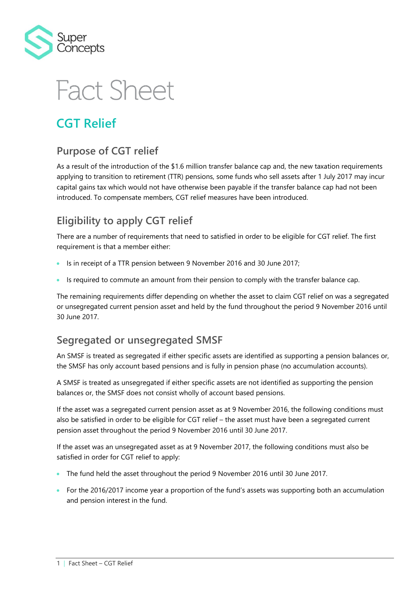

# **Fact Sheet**

## **CGT Relief**

#### **Purpose of CGT relief**

As a result of the introduction of the \$1.6 million transfer balance cap and, the new taxation requirements applying to transition to retirement (TTR) pensions, some funds who sell assets after 1 July 2017 may incur capital gains tax which would not have otherwise been payable if the transfer balance cap had not been introduced. To compensate members, CGT relief measures have been introduced.

### **Eligibility to apply CGT relief**

There are a number of requirements that need to satisfied in order to be eligible for CGT relief. The first requirement is that a member either:

- Is in receipt of a TTR pension between 9 November 2016 and 30 June 2017;
- Is required to commute an amount from their pension to comply with the transfer balance cap.

The remaining requirements differ depending on whether the asset to claim CGT relief on was a segregated or unsegregated current pension asset and held by the fund throughout the period 9 November 2016 until 30 June 2017.

#### **Segregated or unsegregated SMSF**

An SMSF is treated as segregated if either specific assets are identified as supporting a pension balances or, the SMSF has only account based pensions and is fully in pension phase (no accumulation accounts).

A SMSF is treated as unsegregated if either specific assets are not identified as supporting the pension balances or, the SMSF does not consist wholly of account based pensions.

If the asset was a segregated current pension asset as at 9 November 2016, the following conditions must also be satisfied in order to be eligible for CGT relief – the asset must have been a segregated current pension asset throughout the period 9 November 2016 until 30 June 2017.

If the asset was an unsegregated asset as at 9 November 2017, the following conditions must also be satisfied in order for CGT relief to apply:

- The fund held the asset throughout the period 9 November 2016 until 30 June 2017.
- For the 2016/2017 income year a proportion of the fund's assets was supporting both an accumulation and pension interest in the fund.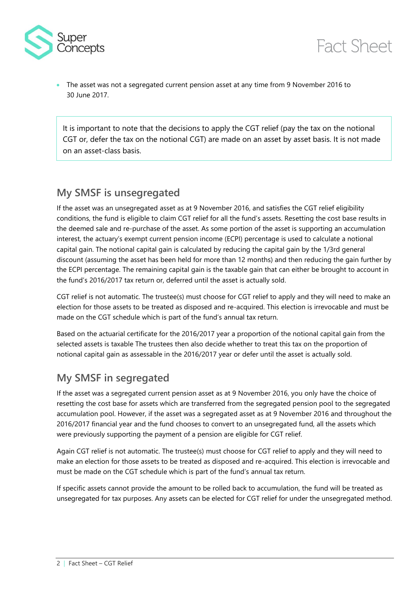

 The asset was not a segregated current pension asset at any time from 9 November 2016 to 30 June 2017.

It is important to note that the decisions to apply the CGT relief (pay the tax on the notional CGT or, defer the tax on the notional CGT) are made on an asset by asset basis. It is not made on an asset-class basis.

#### **My SMSF is unsegregated**

If the asset was an unsegregated asset as at 9 November 2016, and satisfies the CGT relief eligibility conditions, the fund is eligible to claim CGT relief for all the fund's assets. Resetting the cost base results in the deemed sale and re-purchase of the asset. As some portion of the asset is supporting an accumulation interest, the actuary's exempt current pension income (ECPI) percentage is used to calculate a notional capital gain. The notional capital gain is calculated by reducing the capital gain by the 1/3rd general discount (assuming the asset has been held for more than 12 months) and then reducing the gain further by the ECPI percentage. The remaining capital gain is the taxable gain that can either be brought to account in the fund's 2016/2017 tax return or, deferred until the asset is actually sold.

CGT relief is not automatic. The trustee(s) must choose for CGT relief to apply and they will need to make an election for those assets to be treated as disposed and re-acquired. This election is irrevocable and must be made on the CGT schedule which is part of the fund's annual tax return.

Based on the actuarial certificate for the 2016/2017 year a proportion of the notional capital gain from the selected assets is taxable The trustees then also decide whether to treat this tax on the proportion of notional capital gain as assessable in the 2016/2017 year or defer until the asset is actually sold.

#### **My SMSF in segregated**

If the asset was a segregated current pension asset as at 9 November 2016, you only have the choice of resetting the cost base for assets which are transferred from the segregated pension pool to the segregated accumulation pool. However, if the asset was a segregated asset as at 9 November 2016 and throughout the 2016/2017 financial year and the fund chooses to convert to an unsegregated fund, all the assets which were previously supporting the payment of a pension are eligible for CGT relief.

Again CGT relief is not automatic. The trustee(s) must choose for CGT relief to apply and they will need to make an election for those assets to be treated as disposed and re-acquired. This election is irrevocable and must be made on the CGT schedule which is part of the fund's annual tax return.

If specific assets cannot provide the amount to be rolled back to accumulation, the fund will be treated as unsegregated for tax purposes. Any assets can be elected for CGT relief for under the unsegregated method.